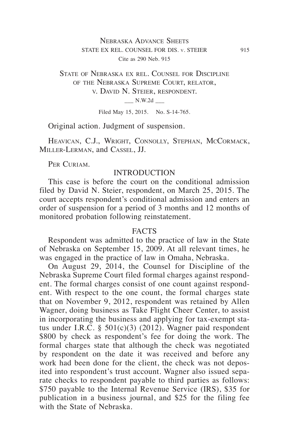## Nebraska Advance Sheets STATE EX REL. COUNSEL FOR DIS. v. STEIER 915 Cite as 290 Neb. 915

# State of Nebraska ex rel. Counsel for Discipline of the Nebraska Supreme Court, relator, v. David N. Steier, respondent. \_\_\_ N.W.2d \_\_\_

Filed May 15, 2015. No. S-14-765.

Original action. Judgment of suspension.

Heavican, C.J., Wright, Connolly, Stephan, McCormack, Miller‑Lerman, and Cassel, JJ.

PER CURIAM.

#### **INTRODUCTION**

This case is before the court on the conditional admission filed by David N. Steier, respondent, on March 25, 2015. The court accepts respondent's conditional admission and enters an order of suspension for a period of 3 months and 12 months of monitored probation following reinstatement.

### FACTS

Respondent was admitted to the practice of law in the State of Nebraska on September 15, 2009. At all relevant times, he was engaged in the practice of law in Omaha, Nebraska.

On August 29, 2014, the Counsel for Discipline of the Nebraska Supreme Court filed formal charges against respondent. The formal charges consist of one count against respondent. With respect to the one count, the formal charges state that on November 9, 2012, respondent was retained by Allen Wagner, doing business as Take Flight Cheer Center, to assist in incorporating the business and applying for tax-exempt status under I.R.C. § 501(c)(3) (2012). Wagner paid respondent \$800 by check as respondent's fee for doing the work. The formal charges state that although the check was negotiated by respondent on the date it was received and before any work had been done for the client, the check was not deposited into respondent's trust account. Wagner also issued separate checks to respondent payable to third parties as follows: \$750 payable to the Internal Revenue Service (IRS), \$35 for publication in a business journal, and \$25 for the filing fee with the State of Nebraska.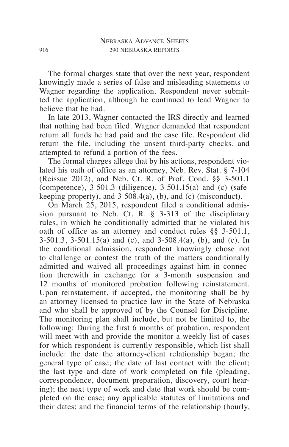The formal charges state that over the next year, respondent knowingly made a series of false and misleading statements to Wagner regarding the application. Respondent never submitted the application, although he continued to lead Wagner to believe that he had.

In late 2013, Wagner contacted the IRS directly and learned that nothing had been filed. Wagner demanded that respondent return all funds he had paid and the case file. Respondent did return the file, including the unsent third-party checks, and attempted to refund a portion of the fees.

The formal charges allege that by his actions, respondent violated his oath of office as an attorney, Neb. Rev. Stat. § 7-104 (Reissue 2012), and Neb. Ct. R. of Prof. Cond. §§ 3-501.1 (competence),  $3-501.3$  (diligence),  $3-501.15(a)$  and (c) (safekeeping property), and  $3-508.4(a)$ , (b), and (c) (misconduct).

On March 25, 2015, respondent filed a conditional admission pursuant to Neb. Ct. R. § 3-313 of the disciplinary rules, in which he conditionally admitted that he violated his oath of office as an attorney and conduct rules §§ 3-501.1, 3-501.3, 3-501.15(a) and (c), and 3-508.4(a), (b), and (c). In the conditional admission, respondent knowingly chose not to challenge or contest the truth of the matters conditionally admitted and waived all proceedings against him in connection therewith in exchange for a 3-month suspension and 12 months of monitored probation following reinstatement. Upon reinstatement, if accepted, the monitoring shall be by an attorney licensed to practice law in the State of Nebraska and who shall be approved of by the Counsel for Discipline. The monitoring plan shall include, but not be limited to, the following: During the first 6 months of probation, respondent will meet with and provide the monitor a weekly list of cases for which respondent is currently responsible, which list shall include: the date the attorney-client relationship began; the general type of case; the date of last contact with the client; the last type and date of work completed on file (pleading, correspondence, document preparation, discovery, court hearing); the next type of work and date that work should be completed on the case; any applicable statutes of limitations and their dates; and the financial terms of the relationship (hourly,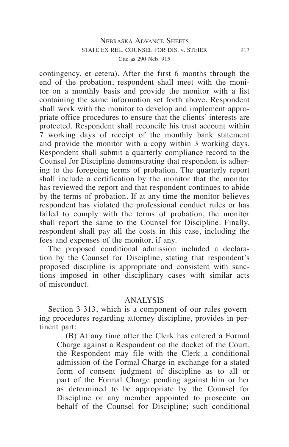## Nebraska Advance Sheets STATE EX REL. COUNSEL FOR DIS. v. STEIER 917 Cite as 290 Neb. 915

contingency, et cetera). After the first 6 months through the end of the probation, respondent shall meet with the monitor on a monthly basis and provide the monitor with a list containing the same information set forth above. Respondent shall work with the monitor to develop and implement appropriate office procedures to ensure that the clients' interests are protected. Respondent shall reconcile his trust account within 7 working days of receipt of the monthly bank statement and provide the monitor with a copy within 3 working days. Respondent shall submit a quarterly compliance record to the Counsel for Discipline demonstrating that respondent is adhering to the foregoing terms of probation. The quarterly report shall include a certification by the monitor that the monitor has reviewed the report and that respondent continues to abide by the terms of probation. If at any time the monitor believes respondent has violated the professional conduct rules or has failed to comply with the terms of probation, the monitor shall report the same to the Counsel for Discipline. Finally, respondent shall pay all the costs in this case, including the fees and expenses of the monitor, if any.

The proposed conditional admission included a declaration by the Counsel for Discipline, stating that respondent's proposed discipline is appropriate and consistent with sanctions imposed in other disciplinary cases with similar acts of misconduct.

## ANALYSIS

Section 3-313, which is a component of our rules governing procedures regarding attorney discipline, provides in pertinent part:

(B) At any time after the Clerk has entered a Formal Charge against a Respondent on the docket of the Court, the Respondent may file with the Clerk a conditional admission of the Formal Charge in exchange for a stated form of consent judgment of discipline as to all or part of the Formal Charge pending against him or her as determined to be appropriate by the Counsel for Discipline or any member appointed to prosecute on behalf of the Counsel for Discipline; such conditional